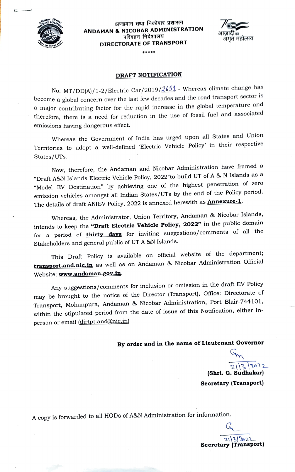

## अण्डमान तथा निकोबार प्रशासन<br>ANDAMAN & NICOBAR ADMINISTRATION<br>परिवहन निदेशालय DIRECTORATE OF TRANSPORT



#### DRAFT NOTIFICATION

No. MT/DD(A)/1-2/Electric Car/2019/2651 - Whereas climate change has become a global concern over the last few decades and the road transport sector is a major contributing factor for the rapid increase in the global temperature and therefore, there is a need for reduction in the use of fossil fuel and associated emissions having dangerous effect.

Whereas the Government of India has urged upon all States and Union Territories to adopt a well-defined "Electric Vehicle Policy' in their respective States/UTs.

Now, therefore, the Andaman and Nicobar Administration have framed a "Draft A&N Islands Electric Vehicle Policy, 2022"to build UT of A & N Islands as a "Model EV Destination" by achieving one of the highest penetration of zero emission vehicles amongst all Indian States/UTs by the end of the Policy period. The details of draft ANIEV Policy, 2022 is annexed herewith as **Annexure-1**.

Whereas, the Administrator, Union Territory, Andaman & Nicobar Islands, intends to keep the "Draft Electric Vehicle Policy, 2022" in the public domain for a period of *thirty days* for inviting suggestions/comments of all the Stakeholders and general public of UT A &N Islands.

This Draft Policy is available on official website of the department; transport.and.nic.in as well as on Andaman & Nicobar Administration Official Website; www.andaman.gov.in.

Any suggestions/comments for inclusion or omission in the draft EV Policy may be brought to the notice, of the Director (Transport), Office: Directorate of Transport, Mohanpura, Andaman & Nicobar Administration, Port Blair-744101, within the stipulated period from the date of issue of this Notification, either in person or email (dirtpt.and@nic.in)

By order and in the name of Lieutenant Governor

 $\frac{1}{\sqrt{2}}$ 

 $2\sqrt{3}\sqrt{2022}$ <br>(Shri. G. Sudhakar) Secretary (Transport)

A copy is forwarded to all HODs of A&N Administration for information.

 $21\frac{3}{202}$ Secretary (Transport)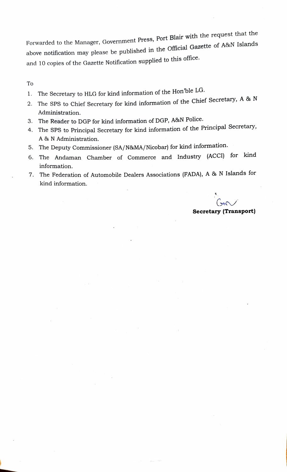Forwarded to the Manager, Government Press, Port Blair with the request that the above notification may please be published in the Official Gazette of A&N Islands and 10 copies of the Gazette Notification supplied to this office.

To

- . The Secretary to HLG for kind information of the Hon'ble LG.
- 2. The SPS to Chief Secretary for kind information of the Chief Secretary, A & N Administration.
- 3. The Reader to DGP for kind information of DGP, A&%N Police.
- 4. The SPS to Principal Secretary for kind information of the Principal Secretary, A & N Administration.
- .The Deputy Commissioner (SA/N&MA/Nicobar) for kind information.
- 6. The Andaman Chamber of Commerce and Industry (ACCI) for kind information.
- 7. The Federation of Automobile Dealers Associations (FADA), A & N Islands for kind information.

G Secretary (Transport)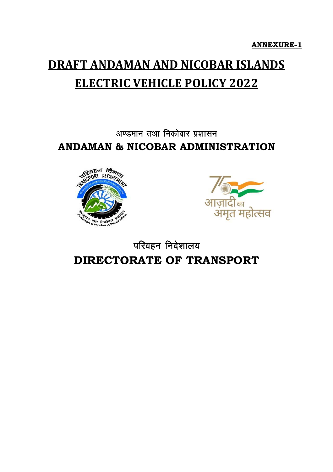**ANNEXURE-1**

# **DRAFT ANDAMAN AND NICOBAR ISLANDS ELECTRIC VEHICLE POLICY 2022**

### अण्डमान तथा निकोबार प्रशासन **ANDAMAN & NICOBAR ADMINISTRATION**





### परिवहन निदेशालय **DIRECTORATE OF TRANSPORT**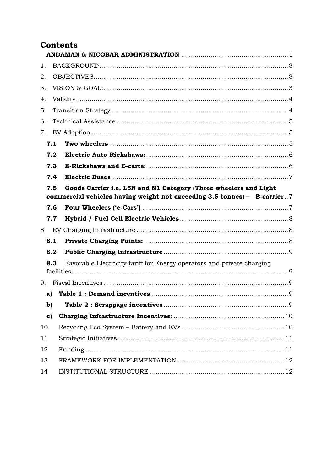#### **Contents**

| 1.  |     |                                                                                                                                              |  |  |
|-----|-----|----------------------------------------------------------------------------------------------------------------------------------------------|--|--|
| 2.  |     |                                                                                                                                              |  |  |
| 3.  |     |                                                                                                                                              |  |  |
| 4.  |     |                                                                                                                                              |  |  |
| 5.  |     |                                                                                                                                              |  |  |
| 6.  |     |                                                                                                                                              |  |  |
| 7.  |     |                                                                                                                                              |  |  |
|     | 7.1 |                                                                                                                                              |  |  |
|     | 7.2 |                                                                                                                                              |  |  |
|     | 7.3 |                                                                                                                                              |  |  |
|     | 7.4 |                                                                                                                                              |  |  |
|     | 7.5 | Goods Carrier i.e. L5N and N1 Category (Three wheelers and Light<br>commercial vehicles having weight not exceeding 3.5 tonnes) - E-carrier7 |  |  |
|     | 7.6 |                                                                                                                                              |  |  |
|     | 7.7 |                                                                                                                                              |  |  |
| 8   |     |                                                                                                                                              |  |  |
|     | 8.1 |                                                                                                                                              |  |  |
|     | 8.2 |                                                                                                                                              |  |  |
|     | 8.3 | Favorable Electricity tariff for Energy operators and private charging                                                                       |  |  |
|     |     |                                                                                                                                              |  |  |
|     | a)  |                                                                                                                                              |  |  |
|     | b)  |                                                                                                                                              |  |  |
|     | c)  |                                                                                                                                              |  |  |
| 10. |     |                                                                                                                                              |  |  |
| 11  |     |                                                                                                                                              |  |  |
| 12  |     |                                                                                                                                              |  |  |
| 13  |     |                                                                                                                                              |  |  |
| 14  |     |                                                                                                                                              |  |  |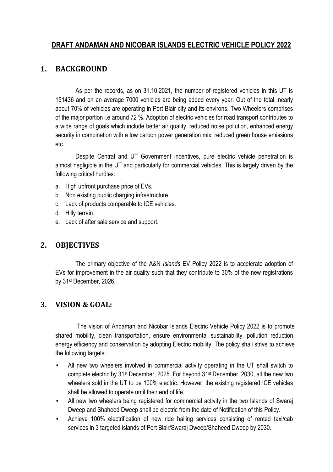#### **DRAFT ANDAMAN AND NICOBAR ISLANDS ELECTRIC VEHICLE POLICY 2022**

#### **1. BACKGROUND**

As per the records, as on 31.10.2021, the number of registered vehicles in this UT is 151436 and on an average 7000 vehicles are being added every year. Out of the total, nearly about 70% of vehicles are operating in Port Blair city and its environs. Two Wheelers comprises of the major portion i.e around 72 %. Adoption of electric vehicles for road transport contributes to a wide range of goals which include better air quality, reduced noise pollution, enhanced energy security in combination with a low carbon power generation mix, reduced green house emissions etc.

Despite Central and UT Government incentives, pure electric vehicle penetration is almost negligible in the UT and particularly for commercial vehicles. This is largely driven by the following critical hurdles:

- a. High upfront purchase price of EVs.
- b. Non existing public charging infrastructure.
- c. Lack of products comparable to ICE vehicles.
- d. Hilly terrain.
- e. Lack of after sale service and support.

#### **2. OBJECTIVES**

The primary objective of the A&N *Islands* EV Policy 2022 is to accelerate adoption of EVs for improvement in the air quality such that they contribute to 30% of the new registrations by 31st December, 2026.

#### **3. VISION & GOAL:**

 The vision of Andaman and Nicobar Islands Electric Vehicle Policy 2022 is to promote shared mobility, clean transportation, ensure environmental sustainability, pollution reduction, energy efficiency and conservation by adopting Electric mobility. The policy shall strive to achieve the following targets:

- All new two wheelers involved in commercial activity operating in the UT shall switch to complete electric by 31st December, 2025. For beyond 31st December, 2030, all the new two wheelers sold in the UT to be 100% electric. However, the existing registered ICE vehicles shall be allowed to operate until their end of life.
- All new two wheelers being registered for commercial activity in the two Islands of Swaraj Dweep and Shaheed Dweep shall be electric from the date of Notification of this Policy.
- Achieve 100% electrification of new ride hailing services consisting of rented taxi/cab services in 3 targeted islands of Port Blair/Swaraj Dweep/Shaheed Dweep by 2030.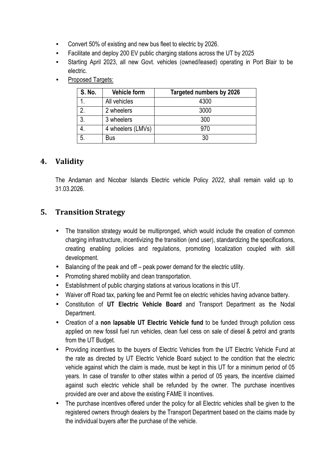- Convert 50% of existing and new bus fleet to electric by 2026.
- Facilitate and deploy 200 EV public charging stations across the UT by 2025
- Starting April 2023, all new Govt. vehicles (owned/leased) operating in Port Blair to be electric.
- Proposed Targets:

| S. No.         | <b>Vehicle form</b> | Targeted numbers by 2026 |
|----------------|---------------------|--------------------------|
|                | All vehicles        | 4300                     |
| റ              | 2 wheelers          | 3000                     |
| 3 <sub>1</sub> | 3 wheelers          | 300                      |
|                | 4 wheelers (LMVs)   | 970                      |
| 5              | Bus                 |                          |

#### **4. Validity**

The Andaman and Nicobar Islands Electric vehicle Policy *2022*, shall remain valid up to 31.03.2026.

#### **5. Transition Strategy**

- The transition strategy would be multipronged, which would include the creation of common charging infrastructure, incentivizing the transition (end user), standardizing the specifications, creating enabling policies and regulations, promoting localization coupled with skill development.
- Balancing of the peak and off peak power demand for the electric utility.
- Promoting shared mobility and clean transportation.
- Establishment of public charging stations at various locations in this UT.
- Waiver off Road tax, parking fee and Permit fee on electric vehicles having advance battery.
- Constitution of **UT Electric Vehicle Board** and Transport Department as the Nodal Department.
- Creation of a **non lapsable UT Electric Vehicle fund** to be funded through pollution cess applied on new fossil fuel run vehicles, clean fuel cess on sale of diesel & petrol and grants from the UT Budget.
- Providing incentives to the buyers of Electric Vehicles from the UT Electric Vehicle Fund at the rate as directed by UT Electric Vehicle Board subject to the condition that the electric vehicle against which the claim is made, must be kept in this UT for a minimum period of 05 years. In case of transfer to other states within a period of 05 years, the incentive claimed against such electric vehicle shall be refunded by the owner. The purchase incentives provided are over and above the existing FAME II incentives.
- The purchase incentives offered under the policy for all Electric vehicles shall be given to the registered owners through dealers by the Transport Department based on the claims made by the individual buyers after the purchase of the vehicle.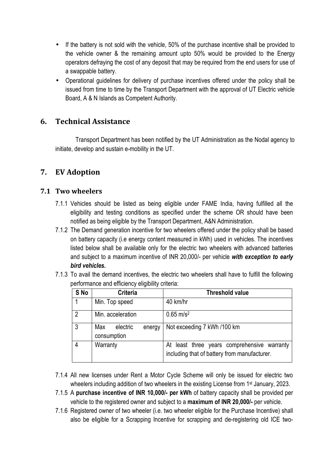- If the battery is not sold with the vehicle, 50% of the purchase incentive shall be provided to the vehicle owner & the remaining amount upto 50% would be provided to the Energy operators defraying the cost of any deposit that may be required from the end users for use of a swappable battery.
- Operational guidelines for delivery of purchase incentives offered under the policy shall be issued from time to time by the Transport Department with the approval of UT Electric vehicle Board, A & N Islands as Competent Authority.

#### **6. Technical Assistance**

Transport Department has been notified by the UT Administration as the Nodal agency to initiate, develop and sustain e-mobility in the UT.

#### **7. EV Adoption**

#### **7.1 Two wheelers**

- 7.1.1 Vehicles should be listed as being eligible under FAME India, having fulfilled all the eligibility and testing conditions as specified under the scheme OR should have been notified as being eligible by the Transport Department, A&N Administration.
- 7.1.2 The Demand generation incentive for two wheelers offered under the policy shall be based on battery capacity (i.e energy content measured in kWh) used in vehicles. The incentives listed below shall be available only for the electric two wheelers with advanced batteries and subject to a maximum incentive of INR 20,000/- per vehicle *with exception to early bird vehicles.*
- 7.1.3 To avail the demand incentives, the electric two wheelers shall have to fulfill the following performance and efficiency eligibility criteria:

| S No           | <b>Criteria</b>                          | <b>Threshold value</b>                                                                      |
|----------------|------------------------------------------|---------------------------------------------------------------------------------------------|
|                | Min. Top speed                           | 40 km/hr                                                                                    |
| $\overline{2}$ | Min. acceleration                        | $0.65$ m/s <sup>2</sup>                                                                     |
| 3              | Max<br>electric<br>energy<br>consumption | Not exceeding 7 kWh /100 km                                                                 |
| 4              | Warranty                                 | At least three years comprehensive warranty<br>including that of battery from manufacturer. |

- 7.1.4 All new licenses under Rent a Motor Cycle Scheme will only be issued for electric two wheelers including addition of two wheelers in the existing License from 1<sup>st</sup> January, 2023.
- 7.1.5 A **purchase incentive of INR 10,000/- per kWh** of battery capacity shall be provided per vehicle to the registered owner and subject to a **maximum of INR 20,000/-** per vehicle.
- 7.1.6 Registered owner of two wheeler (i.e. two wheeler eligible for the Purchase Incentive) shall also be eligible for a Scrapping Incentive for scrapping and de-registering old ICE two-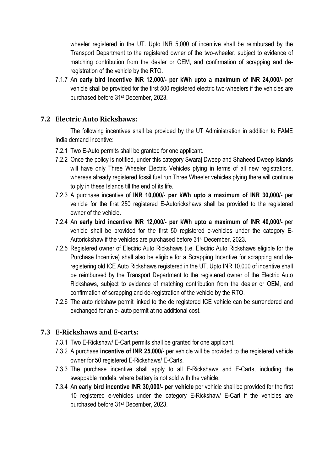wheeler registered in the UT. Upto INR 5,000 of incentive shall be reimbursed by the Transport Department to the registered owner of the two-wheeler, subject to evidence of matching contribution from the dealer or OEM, and confirmation of scrapping and deregistration of the vehicle by the RTO.

7.1.7 An **early bird incentive INR 12,000/- per kWh upto a maximum of INR 24,000/-** per vehicle shall be provided for the first 500 registered electric two-wheelers if the vehicles are purchased before 31st December, 2023.

#### **7.2 Electric Auto Rickshaws:**

The following incentives shall be provided by the UT Administration in addition to FAME India demand incentive:

- 7.2.1 Two E-Auto permits shall be granted for one applicant.
- 7.2.2 Once the policy is notified, under this category Swaraj Dweep and Shaheed Dweep Islands will have only Three Wheeler Electric Vehicles plying in terms of all new registrations, whereas already registered fossil fuel run Three Wheeler vehicles plying there will continue to ply in these Islands till the end of its life.
- 7.2.3 A purchase incentive of **INR 10,000/- per kWh upto a maximum of INR 30,000/-** per vehicle for the first 250 registered E-Autorickshaws shall be provided to the registered owner of the vehicle.
- 7.2.4 An **early bird incentive INR 12,000/- per kWh upto a maximum of INR 40,000/-** per vehicle shall be provided for the first 50 registered e-vehicles under the category E-Autorickshaw if the vehicles are purchased before 31 st December, 2023.
- 7.2.5 Registered owner of Electric Auto Rickshaws (i.e. Electric Auto Rickshaws eligible for the Purchase Incentive) shall also be eligible for a Scrapping Incentive for scrapping and deregistering old ICE Auto Rickshaws registered in the UT. Upto INR 10,000 of incentive shall be reimbursed by the Transport Department to the registered owner of the Electric Auto Rickshaws, subject to evidence of matching contribution from the dealer or OEM, and confirmation of scrapping and de-registration of the vehicle by the RTO.
- 7.2.6 The auto rickshaw permit linked to the de registered ICE vehicle can be surrendered and exchanged for an e- auto permit at no additional cost.

#### **7.3 E-Rickshaws and E-carts:**

- 7.3.1 Two E-Rickshaw/ E-Cart permits shall be granted for one applicant.
- 7.3.2 A purchase **incentive of INR 25,000/-** per vehicle will be provided to the registered vehicle owner for 50 registered E-Rickshaws/ E-Carts.
- 7.3.3 The purchase incentive shall apply to all E-Rickshaws and E-Carts, including the swappable models, where battery is not sold with the vehicle.
- 7.3.4 An **early bird incentive INR 30,000/- per vehicle** per vehicle shall be provided for the first 10 registered e-vehicles under the category E-Rickshaw/ E-Cart if the vehicles are purchased before 31st December, 2023.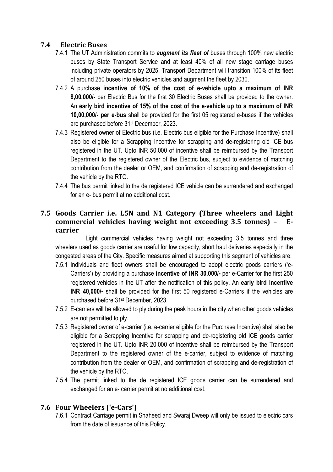#### **7.4 Electric Buses**

- 7.4.1 The UT Administration commits to *augment its fleet of* buses through 100% new electric buses by State Transport Service and at least 40% of all new stage carriage buses including private operators by 2025. Transport Department will transition 100% of its fleet of around 250 buses into electric vehicles and augment the fleet by 2030.
- 7.4.2 A purchase **incentive of 10% of the cost of e-vehicle upto a maximum of INR 8,00,000/-** per Electric Bus for the first 30 Electric Buses shall be provided to the owner. An **early bird incentive of 15% of the cost of the e-vehicle up to a maximum of INR 10,00,000/- per e-bus** shall be provided for the first 05 registered e-buses if the vehicles are purchased before 31st December, 2023.
- 7.4.3 Registered owner of Electric bus (i.e. Electric bus eligible for the Purchase Incentive) shall also be eligible for a Scrapping Incentive for scrapping and de-registering old ICE bus registered in the UT. Upto INR 50,000 of incentive shall be reimbursed by the Transport Department to the registered owner of the Electric bus, subject to evidence of matching contribution from the dealer or OEM, and confirmation of scrapping and de-registration of the vehicle by the RTO.
- 7.4.4 The bus permit linked to the de registered ICE vehicle can be surrendered and exchanged for an e- bus permit at no additional cost.

#### **7.5 Goods Carrier i.e. L5N and N1 Category (Three wheelers and Light commercial vehicles having weight not exceeding 3.5 tonnes) – Ecarrier**

Light commercial vehicles having weight not exceeding 3.5 tonnes and three wheelers used as goods carrier are useful for low capacity, short haul deliveries especially in the congested areas of the City. Specific measures aimed at supporting this segment of vehicles are:

- 7.5.1 Individuals and fleet owners shall be encouraged to adopt electric goods carriers ('e-Carriers') by providing a purchase **incentive of INR 30,000/-** per e-Carrier for the first 250 registered vehicles in the UT after the notification of this policy. An **early bird incentive INR 40,000/-** shall be provided for the first 50 registered e-Carriers if the vehicles are purchased before 31st December, 2023.
- 7.5.2 E-carriers will be allowed to ply during the peak hours in the city when other goods vehicles are not permitted to ply.
- 7.5.3 Registered owner of e-carrier (i.e. e-carrier eligible for the Purchase Incentive) shall also be eligible for a Scrapping Incentive for scrapping and de-registering old ICE goods carrier registered in the UT. Upto INR 20,000 of incentive shall be reimbursed by the Transport Department to the registered owner of the e-carrier, subject to evidence of matching contribution from the dealer or OEM, and confirmation of scrapping and de-registration of the vehicle by the RTO.
- 7.5.4 The permit linked to the de registered ICE goods carrier can be surrendered and exchanged for an e- carrier permit at no additional cost.

#### **7.6 Four Wheelers ('e-Cars')**

7.6.1 Contract Carriage permit in Shaheed and Swaraj Dweep will only be issued to electric cars from the date of issuance of this Policy.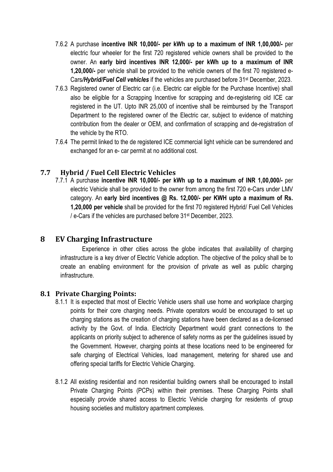- 7.6.2 A purchase **incentive INR 10,000/- per kWh up to a maximum of INR 1,00,000/-** per electric four wheeler for the first 720 registered vehicle owners shall be provided to the owner. An **early bird incentives INR 12,000/- per kWh up to a maximum of INR 1,20,000/-** per vehicle shall be provided to the vehicle owners of the first 70 registered e-Cars*/Hybrid/Fuel Cell vehicles* if the vehicles are purchased before 31st December, 2023.
- 7.6.3 Registered owner of Electric car (i.e. Electric car eligible for the Purchase Incentive) shall also be eligible for a Scrapping Incentive for scrapping and de-registering old ICE car registered in the UT. Upto INR 25,000 of incentive shall be reimbursed by the Transport Department to the registered owner of the Electric car, subject to evidence of matching contribution from the dealer or OEM, and confirmation of scrapping and de-registration of the vehicle by the RTO.
- 7.6.4 The permit linked to the de registered ICE commercial light vehicle can be surrendered and exchanged for an e- car permit at no additional cost.

#### **7.7 Hybrid / Fuel Cell Electric Vehicles**

7.7.1 A purchase **incentive INR 10,000/- per kWh up to a maximum of INR 1,00,000/-** per electric Vehicle shall be provided to the owner from among the first 720 e-Cars under LMV category. An **early bird incentives @ Rs. 12,000/- per KWH upto a maximum of Rs. 1,20,000 per vehicle** shall be provided for the first 70 registered Hybrid/ Fuel Cell Vehicles / e-Cars if the vehicles are purchased before 31st December, 2023.

#### **8 EV Charging Infrastructure**

 Experience in other cities across the globe indicates that availability of charging infrastructure is a key driver of Electric Vehicle adoption. The objective of the policy shall be to create an enabling environment for the provision of private as well as public charging infrastructure.

#### **8.1 Private Charging Points:**

- 8.1.1 It is expected that most of Electric Vehicle users shall use home and workplace charging points for their core charging needs. Private operators would be encouraged to set up charging stations as the creation of charging stations have been declared as a de-licensed activity by the Govt. of India. Electricity Department would grant connections to the applicants on priority subject to adherence of safety norms as per the guidelines issued by the Government. However, charging points at these locations need to be engineered for safe charging of Electrical Vehicles, load management, metering for shared use and offering special tariffs for Electric Vehicle Charging.
- 8.1.2 All existing residential and non residential building owners shall be encouraged to install Private Charging Points (PCPs) within their premises. These Charging Points shall especially provide shared access to Electric Vehicle charging for residents of group housing societies and multistory apartment complexes.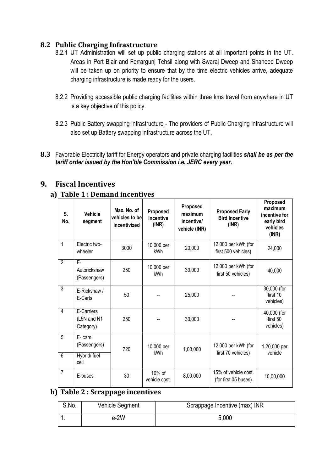#### **8.2 Public Charging Infrastructure**

- 8.2.1 UT Administration will set up public charging stations at all important points in the UT. Areas in Port Blair and Ferrargunj Tehsil along with Swaraj Dweep and Shaheed Dweep will be taken up on priority to ensure that by the time electric vehicles arrive, adequate charging infrastructure is made ready for the users.
- 8.2.2 Providing accessible public charging facilities within three kms travel from anywhere in UT is a key objective of this policy.
- 8.2.3 Public Battery swapping infrastructure The providers of Public Charging infrastructure will also set up Battery swapping infrastructure across the UT.
- **8.3** Favorable Electricity tariff for Energy operators and private charging facilities *shall be as per the tariff order issued by the Hon'ble Commission i.e. JERC every year.*

#### **9. Fiscal Incentives**

#### **a) Table 1 : Demand incentives**

| S.<br>No.      | <b>Vehicle</b><br>segment              | Max. No. of<br>vehicles to be<br>incentivized | Proposed<br>Incentive<br>(INR) | Proposed<br>maximum<br>incentive/<br>vehicle (INR) | <b>Proposed Early</b><br><b>Bird Incentive</b><br>(INR) | Proposed<br>maximum<br>incentive for<br>early bird<br>vehicles<br>(INR) |
|----------------|----------------------------------------|-----------------------------------------------|--------------------------------|----------------------------------------------------|---------------------------------------------------------|-------------------------------------------------------------------------|
| 1              | Electric two-<br>wheeler               | 3000                                          | 10,000 per<br><b>kWh</b>       | 20,000                                             | 12,000 per kWh (for<br>first 500 vehicles)              | 24,000                                                                  |
| $\overline{2}$ | F-<br>Autorickshaw<br>(Passengers)     | 250                                           | 10,000 per<br><b>kWh</b>       | 30,000                                             | 12,000 per kWh (for<br>first 50 vehicles)               | 40,000                                                                  |
| $\overline{3}$ | E-Rickshaw /<br>E-Carts                | 50                                            |                                | 25,000                                             |                                                         | 30,000 (for<br>first 10<br>vehicles)                                    |
| 4              | E-Carriers<br>(L5N and N1<br>Category) | 250                                           |                                | 30,000                                             |                                                         | 40,000 (for<br>first 50<br>vehicles)                                    |
| $\overline{5}$ | E-cars<br>(Passengers)                 | 720                                           | 10,000 per<br><b>kWh</b>       | 1,00,000                                           | 12,000 per kWh (for                                     | 1,20,000 per<br>vehicle                                                 |
| $\overline{6}$ | Hybrid/ fuel<br>cell                   |                                               |                                |                                                    | first 70 vehicles)                                      |                                                                         |
| $\overline{7}$ | E-buses                                | 30                                            | 10% of<br>vehicle cost.        | 8,00,000                                           | 15% of vehicle cost.<br>(for first 05 buses)            | 10,00,000                                                               |

#### **b) Table 2 : Scrappage incentives**

| S.No. | Vehicle Segment | Scrappage Incentive (max) INR |
|-------|-----------------|-------------------------------|
|       | $e-2W$          | 5,000                         |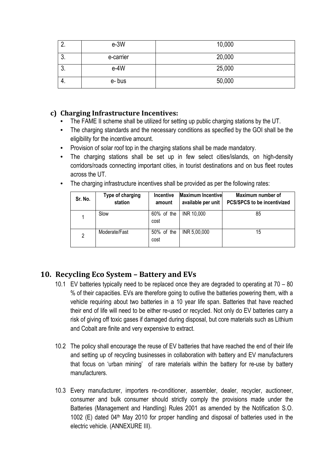| <u>.</u> | $e-3W$    | 10,000 |
|----------|-----------|--------|
| ν.       | e-carrier | 20,000 |
| ν.       | $e-4W$    | 25,000 |
| 4.       | e-bus     | 50,000 |

#### **c) Charging Infrastructure Incentives:**

- The FAME II scheme shall be utilized for setting up public charging stations by the UT.
- The charging standards and the necessary conditions as specified by the GOI shall be the eligibility for the incentive amount.
- Provision of solar roof top in the charging stations shall be made mandatory.
- The charging stations shall be set up in few select cities/islands, on high-density corridors/roads connecting important cities, in tourist destinations and on bus fleet routes across the UT.
- The charging infrastructure incentives shall be provided as per the following rates:

| Sr. No. | Type of charging<br>station | <b>Incentive</b><br>amount | <b>Maximum Incentivel</b><br>available per unit | Maximum number of<br><b>PCS/SPCS to be incentivized</b> |
|---------|-----------------------------|----------------------------|-------------------------------------------------|---------------------------------------------------------|
|         | Slow                        | 60% of the<br>cost         | INR 10,000                                      | 85                                                      |
| 2       | Moderate/Fast               | $50\%$ of the<br>cost      | INR 5,00,000                                    | 15                                                      |

#### **10. Recycling Eco System – Battery and EVs**

- 10.1 EV batteries typically need to be replaced once they are degraded to operating at 70 80 % of their capacities. EVs are therefore going to outlive the batteries powering them, with a vehicle requiring about two batteries in a 10 year life span. Batteries that have reached their end of life will need to be either re-used or recycled. Not only do EV batteries carry a risk of giving off toxic gases if damaged during disposal, but core materials such as Lithium and Cobalt are finite and very expensive to extract.
- 10.2 The policy shall encourage the reuse of EV batteries that have reached the end of their life and setting up of recycling businesses in collaboration with battery and EV manufacturers that focus on 'urban mining' of rare materials within the battery for re-use by battery manufacturers.
- 10.3 Every manufacturer, importers re-conditioner, assembler, dealer, recycler, auctioneer, consumer and bulk consumer should strictly comply the provisions made under the Batteries (Management and Handling) Rules 2001 as amended by the Notification S.O. 1002 (E) dated  $04<sup>th</sup>$  May 2010 for proper handling and disposal of batteries used in the electric vehicle. (ANNEXURE III).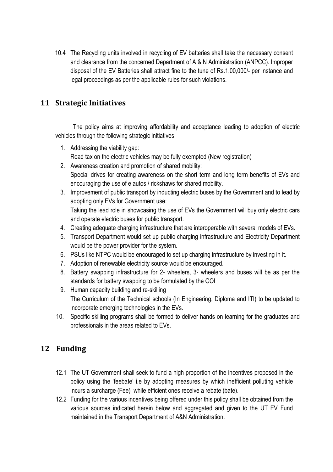10.4 The Recycling units involved in recycling of EV batteries shall take the necessary consent and clearance from the concerned Department of A & N Administration (ANPCC). Improper disposal of the EV Batteries shall attract fine to the tune of Rs.1,00,000/- per instance and legal proceedings as per the applicable rules for such violations.

#### **11 Strategic Initiatives**

The policy aims at improving affordability and acceptance leading to adoption of electric vehicles through the following strategic initiatives:

- 1. Addressing the viability gap: Road tax on the electric vehicles may be fully exempted (New registration)
- 2. Awareness creation and promotion of shared mobility: Special drives for creating awareness on the short term and long term benefits of EVs and encouraging the use of e autos / rickshaws for shared mobility.
- 3. Improvement of public transport by inducting electric buses by the Government and to lead by adopting only EVs for Government use: Taking the lead role in showcasing the use of EVs the Government will buy only electric cars and operate electric buses for public transport.
- 4. Creating adequate charging infrastructure that are interoperable with several models of EVs.
- 5. Transport Department would set up public charging infrastructure and Electricity Department would be the power provider for the system.
- 6. PSUs like NTPC would be encouraged to set up charging infrastructure by investing in it.
- 7. Adoption of renewable electricity source would be encouraged.
- 8. Battery swapping infrastructure for 2- wheelers, 3- wheelers and buses will be as per the standards for battery swapping to be formulated by the GOI
- 9. Human capacity building and re-skilling The Curriculum of the Technical schools (In Engineering, Diploma and ITI) to be updated to incorporate emerging technologies in the EVs.
- 10. Specific skilling programs shall be formed to deliver hands on learning for the graduates and professionals in the areas related to EVs.

### **12 Funding**

- 12.1 The UT Government shall seek to fund a high proportion of the incentives proposed in the policy using the 'feebate' i.e by adopting measures by which inefficient polluting vehicle incurs a surcharge (Fee) while efficient ones receive a rebate (bate).
- 12.2 Funding for the various incentives being offered under this policy shall be obtained from the various sources indicated herein below and aggregated and given to the UT EV Fund maintained in the Transport Department of A&N Administration.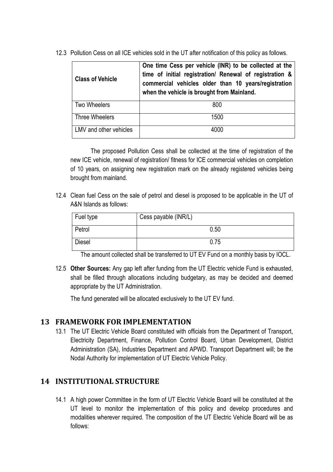12.3 Pollution Cess on all ICE vehicles sold in the UT after notification of this policy as follows.

| <b>Class of Vehicle</b> | One time Cess per vehicle (INR) to be collected at the<br>time of initial registration/ Renewal of registration &<br>commercial vehicles older than 10 years/registration<br>when the vehicle is brought from Mainland. |
|-------------------------|-------------------------------------------------------------------------------------------------------------------------------------------------------------------------------------------------------------------------|
| <b>Two Wheelers</b>     | 800                                                                                                                                                                                                                     |
| Three Wheelers          | 1500                                                                                                                                                                                                                    |
| LMV and other vehicles  | 4000                                                                                                                                                                                                                    |

The proposed Pollution Cess shall be collected at the time of registration of the new ICE vehicle, renewal of registration/ fitness for ICE commercial vehicles on completion of 10 years, on assigning new registration mark on the already registered vehicles being brought from mainland.

12.4 Clean fuel Cess on the sale of petrol and diesel is proposed to be applicable in the UT of A&N Islands as follows:

| Fuel type     | Cess payable (INR/L) |
|---------------|----------------------|
| Petrol        | 0.50                 |
| <b>Diesel</b> | 0.75                 |

The amount collected shall be transferred to UT EV Fund on a monthly basis by IOCL.

12.5 **Other Sources:** Any gap left after funding from the UT Electric vehicle Fund is exhausted, shall be filled through allocations including budgetary, as may be decided and deemed appropriate by the UT Administration.

The fund generated will be allocated exclusively to the UT EV fund.

#### **13 FRAMEWORK FOR IMPLEMENTATION**

13.1 The UT Electric Vehicle Board constituted with officials from the Department of Transport, Electricity Department, Finance, Pollution Control Board, Urban Development, District Administration (SA), Industries Department and APWD. Transport Department will; be the Nodal Authority for implementation of UT Electric Vehicle Policy.

#### **14 INSTITUTIONAL STRUCTURE**

14.1 A high power Committee in the form of UT Electric Vehicle Board will be constituted at the UT level to monitor the implementation of this policy and develop procedures and modalities wherever required. The composition of the UT Electric Vehicle Board will be as follows: